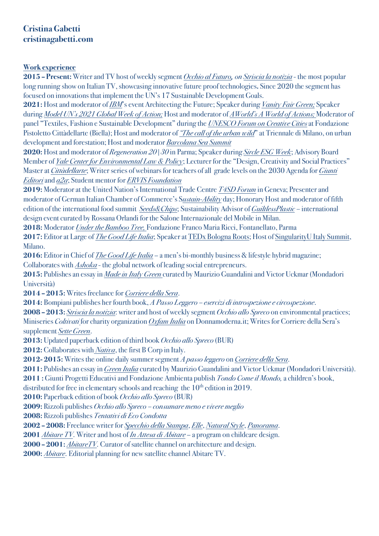## **Cristina Gabetti cristinagabetti.com**

## **Work experience**

**2015 – Present:** Writer and TV host of weekly segment *Occhio al Futuro, on Striscia la notizia* - the most popular long running show on Italian TV, showcasing innovative future proof technologies**.** Since 2020 the segment has focused on innovations that implement the UN's 17 Sustainable Development Goals.

**2021:** Hostand moderator of *IBM*'s event Architecting the Future; Speaker during *Vanity Fair Green;* Speaker during *Model UN's 2021 Global Week of Action;* Host and moderator of *AWorld's A World of Actions;* Moderator of panel "Textiles, Fashion e Sustainable Development" during the *UNESCO Forum on Creative Cities*at Fondazione Pistoletto Cittàdellarte (Biella); Hostand moderator of *"The call of the urban wild*" at Triennale di Milano, on urban development and forestation; Host and moderator *Barcolana Sea Summit*

**2020:** Host and moderator of *Regeneration 20|30* in Parma; Speaker during *Sircle ESG Week*; Advisory Board Member of *Yale Center for Environmental Law & Policy*; Lecturer for the "Design, Creativity and Social Practices" Master at *Cittàdellarte*; Writer series of webinars for teachers of all grade levels on the 2030 Agenda for *Giunti Editori*and *a2a*; Student mentor for *ERVIS Foundation*

**2019:** Moderatorat the United Nation's International Trade Centre *T4SD Forum* in Geneva; Presenter and moderator of German Italian Chamber of Commerce's S*ustain-Ability* day; Honorary Host and moderator of fifth edition of the international food summit *Seeds&Chips*; Sustainability Advisor of *GuiltlessPlastic –* international design event curated by Rossana Orlandi for the Salone Internazionale del Mobile in Milan.

**2018:** Moderator *Under the Bamboo Tree,* Fondazione Franco Maria Ricci, Fontanellato, Parma

**2017:** Editor at Large of *The Good Life Italia*; Speaker at TEDx Bologna Roots; Host of SingularityU Italy Summit, Milano.

**2016:** Editor in Chief of *The Good Life Italia* – a men's bi-monthly business & lifestyle hybrid magazine; Collaborates with *Ashoka* - the global network of leading social entrepreneurs.

**2015:** Publishes an essay in *Made in Italy Green* curated by Maurizio Guandalini and Victor Uckmar (Mondadori Università)

**2014 – 2015:** Writes freelance for *Corriere della Sera*.

**2014:** Bompiani publishes her fourth book, *A Passo Leggero – esercizi di introspezione e circospezione*.

**2008 – 2013:** *Striscia la notizia*: writer and host of weekly segment *Occhio allo Spreco* on environmental practices; Miniseries *Coltivati* for charity organization *Oxfam Italia* on Donnamoderna.it; Writes for Corriere della Sera's supplement *Sette Green*.

**2013:** Updated paperback edition of third book *Occhio allo Spreco* (BUR)

**2012:** Collaborates with *Nativa*, the first B Corp in Italy.

**2012- 2015:** Writes the online daily summer segment *A passo leggero* on *Corriere della Sera*.

**2011:** Publishes an essay in *Green Italia* curated by Maurizio Guandalini and Victor Uckmar (Mondadori Università).

**2011 :** Giunti Progetti Educativi and Fondazione Ambienta publish *Tondo Come il Mondo,* a children's book,

distributed for free in elementary schools and reaching the  $10<sup>th</sup>$  edition in 2019.

**2010:** Paperback edition of book *Occhio allo Spreco* (BUR)

**2009:** Rizzoli publishes *Occhio allo Spreco – consumare meno e vivere meglio*

**2008:** Rizzoli publishes *Tentativi di Eco Condotta*

**2002 – 2008:** Freelance writer for *Specchio della Stampa*, *Elle*, *Natural Style*, *Panorama*.

**2001** *Abitare TV*. Writer and host of *In Attesa di Abitare* – a program on childcare design.

**2000 – 2001:** *AbitareTV*. Curator of satellite channel on architecture and design.

**2000:** *Abitare*. Editorial planning for new satellite channel Abitare TV.